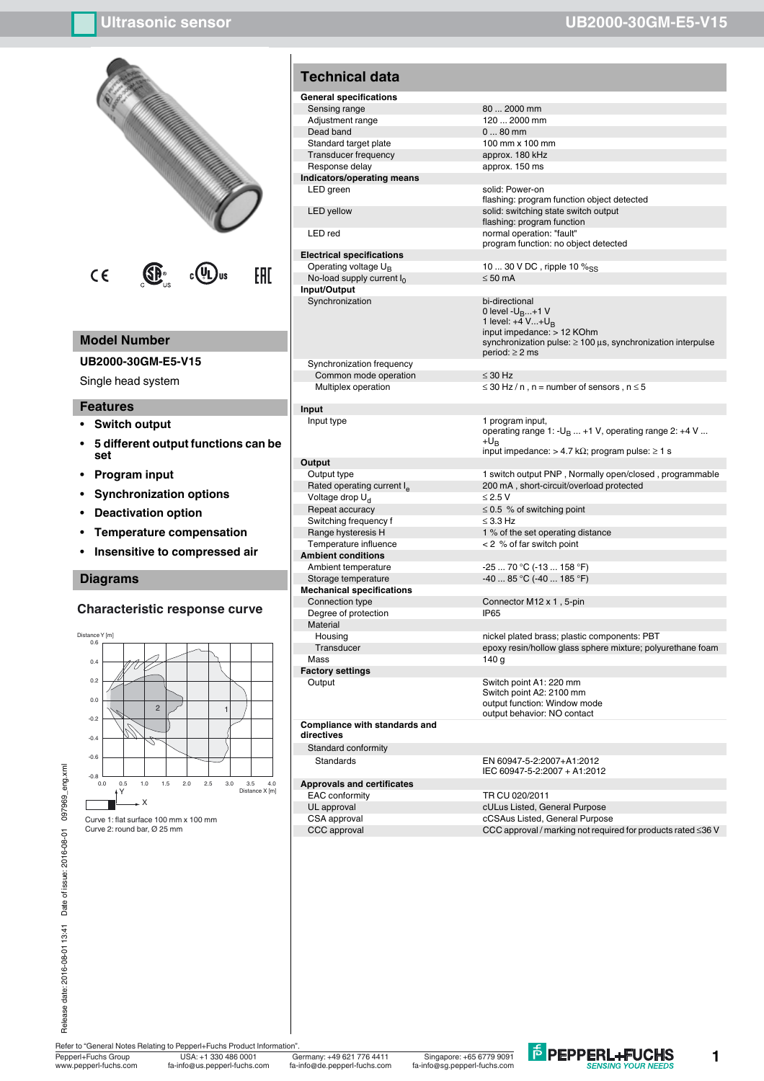

### **Model Number**

### **UB2000-30GM-E5-V15**

Single head system

#### **Features**

- **ï Switch output**
- **ï 5 different output functions can be set**
- **ï Program input**
- **ï Synchronization options**
- **ï Deactivation option**
- **ï Temperature compensation**
- **Insensitive to compressed air**

### **Diagrams**

### **Characteristic response curve**



**Electrical specifications** No-load supply current  $I_0$ **Input/Output Synchronization** bi-directional

Synchronization frequency Common mode operation  $\leq 30$  Hz

**Input**

#### **Output**

 $V$ oltage drop  $U_d$ <br>Repeat accuracy Switching frequency f  $\leq$  3.3 Hz **Ambient conditions** Ambient temperature -25 ... 70 °C (-13 ... 158 °F)<br>Storage temperature -25 ... 85 °C (-40 ... 185 °F) **Mechanical specifications** Degree of protection

**Material** 

Mass 140 g

**Factory settings**

**Compliance with standards and directives**

Standard conformity

### **Approvals and certificates**

flashing: program function object detected LED yellow solid: switching state switch output flashing: program function LED red normal operation: "fault" program function: no object detected

Operating voltage  $U_B$  10 ... 30 V DC , ripple 10  $\%_{SS}$ <br>No-load supply current  $I_0$   $\leq$  50 mA

0 level -U<sub>B</sub>...+1 V<br>1 level: +4 V...+U<sub>B</sub><br>input impedance: > 12 KOhm synchronization pulse: ≥ 100 µs, synchronization interpulse period: ≥ 2 ms

Multiplex operation  $\leq 30$  Hz / n, n = number of sensors, n  $\leq 5$ 

Input type 1 program input, operating range 1: - $U_B$  ... +1 V, operating range 2: +4 V ... + $U_B$ input impedance:  $> 4.7$  kΩ; program pulse:  $\geq 1$  s

Output type 1 switch output PNP, Normally open/closed, programmable Rated operating current I<sub>e</sub> 200 mA , short-circuit/overload protected<br>Voltage drop U<sub>d</sub> 2.5 V  $\leq$  0.5 % of switching point

Range hysteresis H 1 % of the set operating distance<br>Temperature influence  $\leq$  2 % of far switch point  $< 2$  % of far switch point

 $-40...85 °C (-40...185 °F)$ 

Connector M12 x 1, 5-pin<br>IP65

Housing nickel plated brass; plastic components: PBT Transducer epoxy resin/hollow glass sphere mixture; polyurethane foam

Output Switch point A1: 220 mm Switch point A2: 2100 mm output function: Window mode output behavior: NO contact

Standards EN 60947-5-2:2007+A1:2012 IEC 60947-5-2:2007 + A1:2012

EAC conformity TR CU 020/2011 UL approval cULus Listed, General Purpose CSA approval cCSAus Listed, General Purpose CCC approval CCC approval / marking not required for products rated ≤36 V

Date of issue: 2016-08-01 097969\_eng.xml Release date: 2016-08-01 13:41 Date of issue: 2016-08-01 097969\_eng.xml Release date: 2016-08-01 13:41

Pepperl+Fuchs Group Germany: +49 621 776 4411 USA: +1 330 486 0001 Singapore: +65 6779 9091 ww.pepperl-fuchs.com fa-info@us.pepperl-fuchs.com fa-info@de.pepperl-fuchs.com fa-info@sg.pepperl-fuchs.com

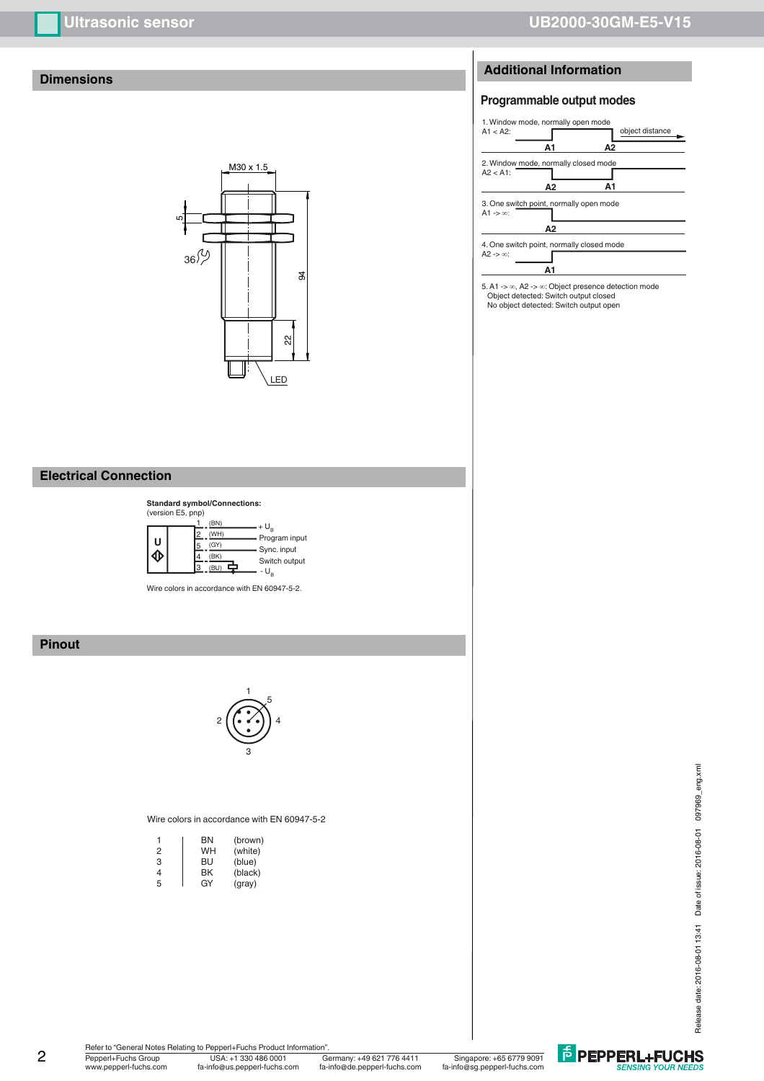# **Dimensions**



### **Electrical Connection**



Wire colors in accordance with EN 60947-5-2.

# **Pinout**



#### Wire colors in accordance with EN 60947-5-2

| 1 | ΒN | (brown) |
|---|----|---------|
| 2 | WH | (white) |
| 3 | BU | (blue)  |
| 4 | ΒK | (black) |
| 5 | GY | (gray)  |

# **Additional Information**

# **Programmable output modes**



5. A1 -> ∞, A2 -> ∞: Object presence detection mode Object detected: Switch output closed No object detected: Switch output open

**E** PEPPERL+FUCHS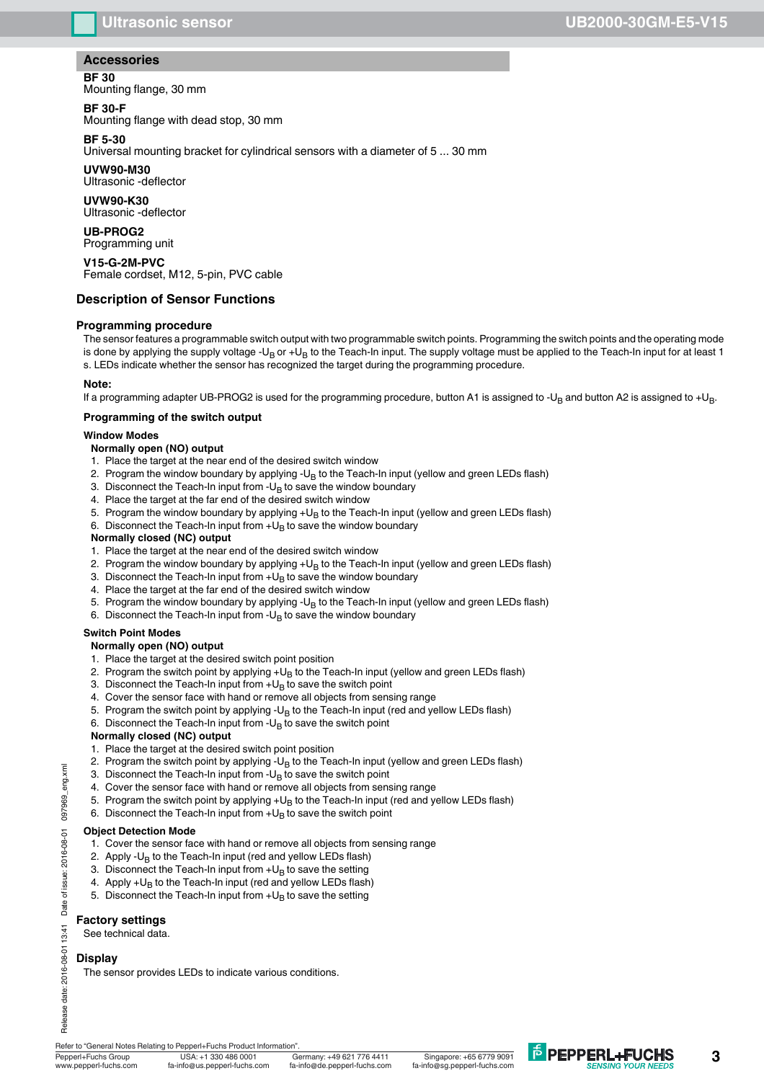# **Accessories**

# **BF 30**

Mounting flange, 30 mm

# **BF 30-F**

Mounting flange with dead stop, 30 mm

# **BF 5-30**

Universal mounting bracket for cylindrical sensors with a diameter of 5 ... 30 mm

# **UVW90-M30**

Ultrasonic -deflector

# **UVW90-K30**

Ultrasonic -deflector

#### **UB-PROG2** Programming unit

**V15-G-2M-PVC** Female cordset, M12, 5-pin, PVC cable

# **Description of Sensor Functions**

# **Programming procedure**

The sensor features a programmable switch output with two programmable switch points. Programming the switch points and the operating mode is done by applying the supply voltage -U<sub>B</sub> or +U<sub>B</sub> to the Teach-In input. The supply voltage must be applied to the Teach-In input for at least 1 s. LEDs indicate whether the sensor has recognized the target during the programming procedure.

### **Note:**

If a programming adapter UB-PROG2 is used for the programming procedure, button A1 is assigned to -U<sub>B</sub> and button A2 is assigned to +U<sub>B</sub>.

### **Programming of the switch output**

### **Window Modes**

### **Normally open (NO) output**

- 1. Place the target at the near end of the desired switch window
- 2. Program the window boundary by applying  $-U_B$  to the Teach-In input (yellow and green LEDs flash)
- 3. Disconnect the Teach-In input from  $-U_B$  to save the window boundary
- 4. Place the target at the far end of the desired switch window
- 5. Program the window boundary by applying  $+U_B$  to the Teach-In input (yellow and green LEDs flash)
- 6. Disconnect the Teach-In input from  $+U_B$  to save the window boundary

### **Normally closed (NC) output**

- 1. Place the target at the near end of the desired switch window
- 2. Program the window boundary by applying  $+U_B$  to the Teach-In input (yellow and green LEDs flash)
- 3. Disconnect the Teach-In input from  $+U_B$  to save the window boundary
- 4. Place the target at the far end of the desired switch window
- 5. Program the window boundary by applying -U<sub>B</sub> to the Teach-In input (yellow and green LEDs flash)
- 6. Disconnect the Teach-In input from  $-U_B$  to save the window boundary

### **Switch Point Modes**

- **Normally open (NO) output**
- 1. Place the target at the desired switch point position
- 2. Program the switch point by applying  $+U_B$  to the Teach-In input (yellow and green LEDs flash)
- 3. Disconnect the Teach-In input from  $+U_B$  to save the switch point
- 4. Cover the sensor face with hand or remove all objects from sensing range
- 5. Program the switch point by applying - $U_B$  to the Teach-In input (red and yellow LEDs flash)
- 6. Disconnect the Teach-In input from  $-U_B$  to save the switch point

# **Normally closed (NC) output**

- 1. Place the target at the desired switch point position
- 2. Program the switch point by applying - $U_B$  to the Teach-In input (yellow and green LEDs flash)
- 3. Disconnect the Teach-In input from  $-U_B$  to save the switch point
- 4. Cover the sensor face with hand or remove all objects from sensing range
- 5. Program the switch point by applying  $+U_B$  to the Teach-In input (red and yellow LEDs flash)
- 6. Disconnect the Teach-In input from  $+U_B$  to save the switch point

### **Object Detection Mode**

- 1. Cover the sensor face with hand or remove all objects from sensing range
- 2. Apply - $U_B$  to the Teach-In input (red and yellow LEDs flash)
- 3. Disconnect the Teach-In input from  $+U_B$  to save the setting
- 4. Apply  $+U_B$  to the Teach-In input (red and yellow LEDs flash)
- 5. Disconnect the Teach-In input from  $+U_B$  to save the setting

### **Factory settings**

See technical data.

### **Display**

The sensor provides LEDs to indicate various conditions.

Refer to "General Notes Relating to Pepperl+Fuchs Product Information".

Pepperl+Fuchs Group Germany: +49 621 776 4411 USA: +1 330 486 0001 Singapore: +65 6779 9091 www.pepperl-fuchs.com fa-info@us.pepperl-fuchs.com fa-info@de.pepperl-fuchs.com fa-info@sg.pepperl-fuchs.com